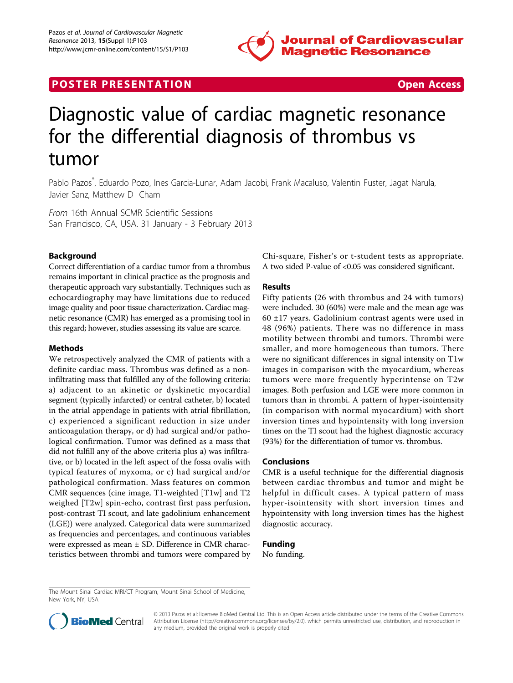

# **POSTER PRESENTATION CONSUMING THE SECOND CONSUMING THE SECOND CONSUMING THE SECOND CONSUMING THE SECOND CONSUMING THE SECOND CONSUMING THE SECOND CONSUMING THE SECOND CONSUMING THE SECOND CONSUMING THE SECOND CONSUMING**



# Diagnostic value of cardiac magnetic resonance for the differential diagnosis of thrombus vs tumor

Pablo Pazos\* , Eduardo Pozo, Ines Garcia-Lunar, Adam Jacobi, Frank Macaluso, Valentin Fuster, Jagat Narula, Javier Sanz, Matthew D Cham

From 16th Annual SCMR Scientific Sessions San Francisco, CA, USA. 31 January - 3 February 2013

# Background

Correct differentiation of a cardiac tumor from a thrombus remains important in clinical practice as the prognosis and therapeutic approach vary substantially. Techniques such as echocardiography may have limitations due to reduced image quality and poor tissue characterization. Cardiac magnetic resonance (CMR) has emerged as a promising tool in this regard; however, studies assessing its value are scarce.

#### Methods

We retrospectively analyzed the CMR of patients with a definite cardiac mass. Thrombus was defined as a noninfiltrating mass that fulfilled any of the following criteria: a) adjacent to an akinetic or dyskinetic myocardial segment (typically infarcted) or central catheter, b) located in the atrial appendage in patients with atrial fibrillation, c) experienced a significant reduction in size under anticoagulation therapy, or d) had surgical and/or pathological confirmation. Tumor was defined as a mass that did not fulfill any of the above criteria plus a) was infiltrative, or b) located in the left aspect of the fossa ovalis with typical features of myxoma, or c) had surgical and/or pathological confirmation. Mass features on common CMR sequences (cine image, T1-weighted [T1w] and T2 weighed [T2w] spin-echo, contrast first pass perfusion, post-contrast TI scout, and late gadolinium enhancement (LGE)) were analyzed. Categorical data were summarized as frequencies and percentages, and continuous variables were expressed as mean ± SD. Difference in CMR characteristics between thrombi and tumors were compared by

Chi-square, Fisher's or t-student tests as appropriate. A two sided P-value of <0.05 was considered significant.

## Results

Fifty patients (26 with thrombus and 24 with tumors) were included. 30 (60%) were male and the mean age was  $60 \pm 17$  years. Gadolinium contrast agents were used in 48 (96%) patients. There was no difference in mass motility between thrombi and tumors. Thrombi were smaller, and more homogeneous than tumors. There were no significant differences in signal intensity on T1w images in comparison with the myocardium, whereas tumors were more frequently hyperintense on T2w images. Both perfusion and LGE were more common in tumors than in thrombi. A pattern of hyper-isointensity (in comparison with normal myocardium) with short inversion times and hypointensity with long inversion times on the TI scout had the highest diagnostic accuracy (93%) for the differentiation of tumor vs. thrombus.

#### Conclusions

CMR is a useful technique for the differential diagnosis between cardiac thrombus and tumor and might be helpful in difficult cases. A typical pattern of mass hyper-isointensity with short inversion times and hypointensity with long inversion times has the highest diagnostic accuracy.

### Funding

No funding.

The Mount Sinai Cardiac MRI/CT Program, Mount Sinai School of Medicine, New York, NY, USA



© 2013 Pazos et al; licensee BioMed Central Ltd. This is an Open Access article distributed under the terms of the Creative Commons Attribution License [\(http://creativecommons.org/licenses/by/2.0](http://creativecommons.org/licenses/by/2.0)), which permits unrestricted use, distribution, and reproduction in any medium, provided the original work is properly cited.